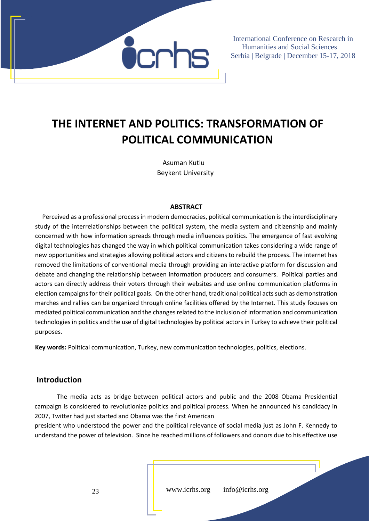

## **THE INTERNET AND POLITICS: TRANSFORMATION OF POLITICAL COMMUNICATION**

Asuman Kutlu Beykent University

#### **ABSTRACT**

Perceived as a professional process in modern democracies, political communication is the interdisciplinary study of the interrelationships between the political system, the media system and citizenship and mainly concerned with how information spreads through media influences politics. The emergence of fast evolving digital technologies has changed the way in which political communication takes considering a wide range of new opportunities and strategies allowing political actors and citizens to rebuild the process. The internet has removed the limitations of conventional media through providing an interactive platform for discussion and debate and changing the relationship between information producers and consumers. Political parties and actors can directly address their voters through their websites and use online communication platforms in election campaigns for their political goals. On the other hand, traditional political acts such as demonstration marches and rallies can be organized through online facilities offered by the Internet. This study focuses on mediated political communication and the changes related to the inclusion of information and communication technologies in politics and the use of digital technologies by political actors in Turkey to achieve their political purposes.

**Key words:** Political communication, Turkey, new communication technologies, politics, elections.

#### **Introduction**

The media acts as bridge between political actors and public and the 2008 Obama Presidential campaign is considered to revolutionize politics and political process. When he announced his candidacy in 2007, Twitter had just started and Obama was the first American

president who understood the power and the political relevance of social media just as John F. Kennedy to understand the power of television. Since he reached millions of followers and donors due to his effective use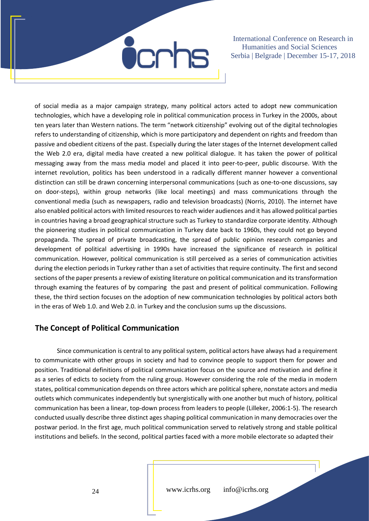of social media as a major campaign strategy, many political actors acted to adopt new communication technologies, which have a developing role in political communication process in Turkey in the 2000s, about ten years later than Western nations. The term "network citizenship" evolving out of the digital technologies refers to understanding of citizenship, which is more participatory and dependent on rights and freedom than passive and obedient citizens of the past. Especially during the later stages of the Internet development called the Web 2.0 era, digital media have created a new political dialogue. It has taken the power of political messaging away from the mass media model and placed it into peer-to-peer, public discourse. With the internet revolution, politics has been understood in a radically different manner however a conventional distinction can still be drawn concerning interpersonal communications (such as one‐to‐one discussions, say on door‐steps), within group networks (like local meetings) and mass communications through the conventional media (such as newspapers, radio and television broadcasts) (Norris, 2010). The internet have also enabled political actors with limited resources to reach wider audiences and it has allowed political parties in countries having a broad geographical structure such as Turkey to standardize corporate identity. Although the pioneering studies in political communication in Turkey date back to 1960s, they could not go beyond propaganda. The spread of private broadcasting, the spread of public opinion research companies and development of political advertising in 1990s have increased the significance of research in political communication. However, political communication is still perceived as a series of communication activities during the election periods in Turkey rather than a set of activities that require continuity. The first and second sections of the paper presents a review of existing literature on political communication and its transformation through examing the features of by comparing the past and present of political communication. Following these, the third section focuses on the adoption of new communication technologies by political actors both in the eras of Web 1.0. and Web 2.0. in Turkey and the conclusion sums up the discussions.

### **The Concept of Political Communication**

Since communication is central to any political system, political actors have always had a requirement to communicate with other groups in society and had to convince people to support them for power and position. Traditional definitions of political communication focus on the source and motivation and define it as a series of edicts to society from the ruling group. However considering the role of the media in modern states, political communication depends on three actors which are political sphere, nonstate actors and media outlets which communicates independently but synergistically with one another but much of history, political communication has been a linear, top-down process from leaders to people (Lilleker, 2006:1-5). The research conducted usually describe three distinct ages shaping political communication in many democracies over the postwar period. In the first age, much political communication served to relatively strong and stable political institutions and beliefs. In the second, political parties faced with a more mobile electorate so adapted their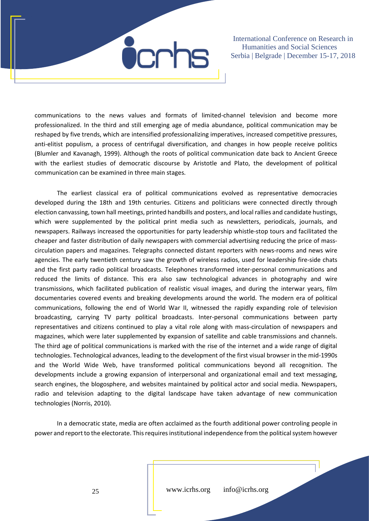

communications to the news values and formats of limited-channel television and become more professionalized. In the third and still emerging age of media abundance, political communication may be reshaped by five trends, which are intensified professionalizing imperatives, increased competitive pressures, anti-elitist populism, a process of centrifugal diversification, and changes in how people receive politics (Blumler and Kavanagh, 1999). Although the roots of political communication date back to Ancient Greece with the earliest studies of democratic discourse by Aristotle and Plato, the development of political communication can be examined in three main stages.

The earliest classical era of political communications evolved as representative democracies developed during the 18th and 19th centuries. Citizens and politicians were connected directly through election canvassing, town hall meetings, printed handbills and posters, and local rallies and candidate hustings, which were supplemented by the political print media such as newsletters, periodicals, journals, and newspapers. Railways increased the opportunities for party leadership whistle‐stop tours and facilitated the cheaper and faster distribution of daily newspapers with commercial advertising reducing the price of mass‐ circulation papers and magazines. Telegraphs connected distant reporters with news‐rooms and news wire agencies. The early twentieth century saw the growth of wireless radios, used for leadership fire-side chats and the first party radio political broadcasts. Telephones transformed inter‐personal communications and reduced the limits of distance. This era also saw technological advances in photography and wire transmissions, which facilitated publication of realistic visual images, and during the interwar years, film documentaries covered events and breaking developments around the world. The modern era of political communications, following the end of World War II, witnessed the rapidly expanding role of television broadcasting, carrying TV party political broadcasts. Inter‐personal communications between party representatives and citizens continued to play a vital role along with mass-circulation of newspapers and magazines, which were later supplemented by expansion of satellite and cable transmissions and channels. The third age of political communications is marked with the rise of the internet and a wide range of digital technologies. Technological advances, leading to the development of the first visual browser in the mid‐1990s and the World Wide Web, have transformed political communications beyond all recognition. The developments include a growing expansion of interpersonal and organizational email and text messaging, search engines, the blogosphere, and websites maintained by political actor and social media. Newspapers, radio and television adapting to the digital landscape have taken advantage of new communication technologies (Norris, 2010).

In a democratic state, media are often acclaimed as the fourth additional power controling people in power and report to the electorate. This requires institutional independence from the political system however

www.icrhs.org info@icrhs.org

25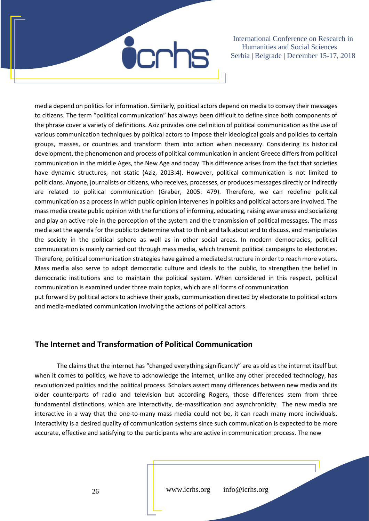

media depend on politics for information. Similarly, political actors depend on media to convey their messages to citizens. The term "political communication" has always been difficult to define since both components of the phrase cover a variety of definitions. Aziz provides one definition of political communication as the use of various communication techniques by political actors to impose their ideological goals and policies to certain groups, masses, or countries and transform them into action when necessary. Considering its historical development, the phenomenon and process of political communication in ancient Greece differs from political communication in the middle Ages, the New Age and today. This difference arises from the fact that societies have dynamic structures, not static (Aziz, 2013:4). However, political communication is not limited to politicians. Anyone, journalists or citizens, who receives, processes, or produces messages directly or indirectly are related to political communication (Graber, 2005: 479). Therefore, we can redefine political communication as a process in which public opinion intervenes in politics and political actors are involved. The mass media create public opinion with the functions of informing, educating, raising awareness and socializing and play an active role in the perception of the system and the transmission of political messages. The mass media set the agenda for the public to determine what to think and talk about and to discuss, and manipulates the society in the political sphere as well as in other social areas. In modern democracies, political communication is mainly carried out through mass media, which transmit political campaigns to electorates. Therefore, political communication strategies have gained a mediated structure in order to reach more voters. Mass media also serve to adopt democratic culture and ideals to the public, to strengthen the belief in democratic institutions and to maintain the political system. When considered in this respect, political communication is examined under three main topics, which are all forms of communication put forward by political actors to achieve their goals, communication directed by electorate to political actors

and media-mediated communication involving the actions of political actors.

### **The Internet and Transformation of Political Communication**

The claims that the internet has "changed everything significantly" are as old as the internet itself but when it comes to politics, we have to acknowledge the internet, unlike any other preceded technology, has revolutionized politics and the political process. Scholars assert many differences between new media and its older counterparts of radio and television but according Rogers, those differences stem from three fundamental distinctions, which are interactivity, de-massification and asynchronicity. The new media are interactive in a way that the one-to-many mass media could not be, it can reach many more individuals. Interactivity is a desired quality of communication systems since such communication is expected to be more accurate, effective and satisfying to the participants who are active in communication process. The new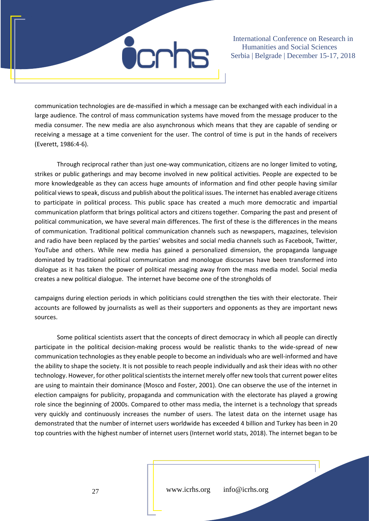

communication technologies are de-massified in which a message can be exchanged with each individual in a large audience. The control of mass communication systems have moved from the message producer to the media consumer. The new media are also asynchronous which means that they are capable of sending or receiving a message at a time convenient for the user. The control of time is put in the hands of receivers (Everett, 1986:4-6).

Through reciprocal rather than just one-way communication, citizens are no longer limited to voting, strikes or public gatherings and may become involved in new political activities. People are expected to be more knowledgeable as they can access huge amounts of information and find other people having similar political views to speak, discuss and publish about the political issues. The internet has enabled average citizens to participate in political process. This public space has created a much more democratic and impartial communication platform that brings political actors and citizens together. Comparing the past and present of political communication, we have several main differences. The first of these is the differences in the means of communication. Traditional political communication channels such as newspapers, magazines, television and radio have been replaced by the parties' websites and social media channels such as Facebook, Twitter, YouTube and others. While new media has gained a personalized dimension, the propaganda language dominated by traditional political communication and monologue discourses have been transformed into dialogue as it has taken the power of political messaging away from the mass media model. Social media creates a new political dialogue. The internet have become one of the strongholds of

campaigns during election periods in which politicians could strengthen the ties with their electorate. Their accounts are followed by journalists as well as their supporters and opponents as they are important news sources.

Some political scientists assert that the concepts of direct democracy in which all people can directly participate in the political decision-making process would be realistic thanks to the wide-spread of new communication technologies as they enable people to become an individuals who are well-informed and have the ability to shape the society. It is not possible to reach people individually and ask their ideas with no other technology. However, for other political scientists the internet merely offer new tools that current power elites are using to maintain their dominance (Mosco and Foster, 2001). One can observe the use of the internet in election campaigns for publicity, propaganda and communication with the electorate has played a growing role since the beginning of 2000s. Compared to other mass media, the internet is a technology that spreads very quickly and continuously increases the number of users. The latest data on the internet usage has demonstrated that the number of internet users worldwide has exceeded 4 billion and Turkey has been in 20 top countries with the highest number of internet users (Internet world stats, 2018). The internet began to be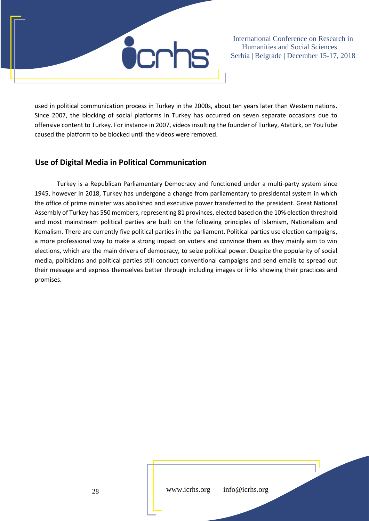

used in political communication process in Turkey in the 2000s, about ten years later than Western nations. Since 2007, the blocking of social platforms in Turkey has occurred on seven separate occasions due to offensive content to Turkey. For instance in 2007, videos insulting the founder of Turkey, Atatürk, on YouTube caused the platform to be blocked until the videos were removed.

### **Use of Digital Media in Political Communication**

Turkey is a Republican Parliamentary Democracy and functioned under a multi-party system since 1945, however in 2018, Turkey has undergone a change from parliamentary to presidental system in which the office of prime minister was abolished and executive power transferred to the president. Great National Assembly of Turkey has 550 members, representing 81 provinces, elected based on the 10% election threshold and most mainstream political parties are built on the following principles of Islamism, Nationalism and Kemalism. There are currently five political parties in the parliament. Political parties use election campaigns, a more professional way to make a strong impact on voters and convince them as they mainly aim to win elections, which are the main drivers of democracy, to seize political power. Despite the popularity of social media, politicians and political parties still conduct conventional campaigns and send emails to spread out their message and express themselves better through including images or links showing their practices and promises.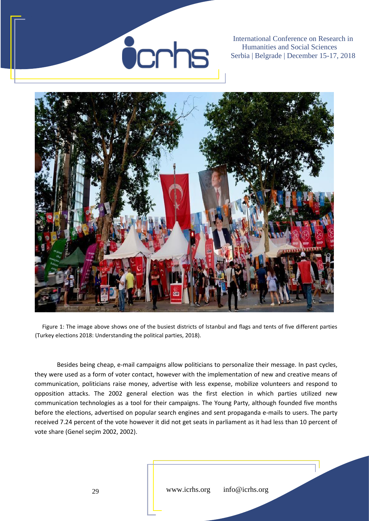# **Ö**crhs

International Conference on Research in Humanities and Social Sciences Serbia | Belgrade | December 15-17, 2018



Figure 1: The image above shows one of the busiest districts of Istanbul and flags and tents of five different parties (Turkey elections 2018: Understanding the political parties, 2018).

Besides being cheap, e-mail campaigns allow politicians to personalize their message. In past cycles, they were used as a form of voter contact, however with the implementation of new and creative means of communication, politicians raise money, advertise with less expense, mobilize volunteers and respond to opposition attacks. The 2002 general election was the first election in which parties utilized new communication technologies as a tool for their campaigns. The Young Party, although founded five months before the elections, advertised on popular search engines and sent propaganda e-mails to users. The party received 7.24 percent of the vote however it did not get seats in parliament as it had less than 10 percent of vote share (Genel seçim 2002, 2002).

www.icrhs.org info@icrhs.org

29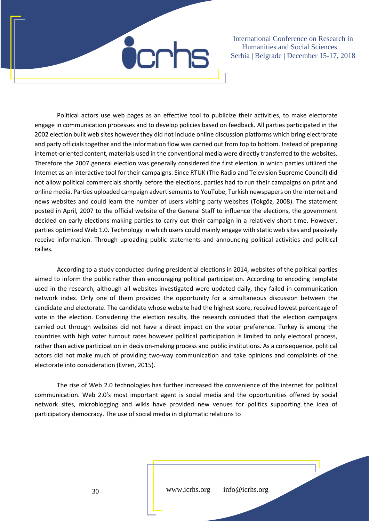

Political actors use web pages as an effective tool to publicize their activities, to make electorate engage in communication processes and to develop policies based on feedback. All parties participated in the 2002 election built web sites however they did not include online discussion platforms which bring electrorate and party officials together and the information flow was carried out from top to bottom. Instead of preparing internet-oriented content, materials used in the conventional media were directly transferred to the websites. Therefore the 2007 general election was generally considered the first election in which parties utilized the Internet as an interactive tool for their campaigns. Since RTUK (The Radio and Television Supreme Council) did not allow political commercials shortly before the elections, parties had to run their campaigns on print and online media. Parties uploaded campaign advertisements to YouTube, Turkish newspapers on the internet and news websites and could learn the number of users visiting party websites (Tokgöz, 2008). The statement posted in April, 2007 to the official website of the General Staff to influence the elections, the government decided on early elections making parties to carry out their campaign in a relatively short time. However, parties optimized Web 1.0. Technology in which users could mainly engage with static web sites and passively receive information. Through uploading public statements and announcing political activities and political rallies.

According to a study conducted during presidential elections in 2014, websites of the political parties aimed to inform the public rather than encouraging political participation. According to encoding template used in the research, although all websites investigated were updated daily, they failed in communication network index. Only one of them provided the opportunity for a simultaneous discussion between the candidate and electorate. The candidate whose website had the highest score, received lowest percentage of vote in the election. Considering the election results, the research conluded that the election campaigns carried out through websites did not have a direct impact on the voter preference. Turkey is among the countries with high voter turnout rates however political participation is limited to only electoral process, rather than active participation in decision-making process and public institutions. As a consequence, political actors did not make much of providing two-way communication and take opinions and complaints of the electorate into consideration (Evren, 2015).

The rise of Web 2.0 technologies has further increased the convenience of the internet for political communication. Web 2.0's most important agent is social media and the opportunities offered by social network sites, microblogging and wikis have provided new venues for politics supporting the idea of participatory democracy. The use of social media in diplomatic relations to

www.icrhs.org info@icrhs.org

30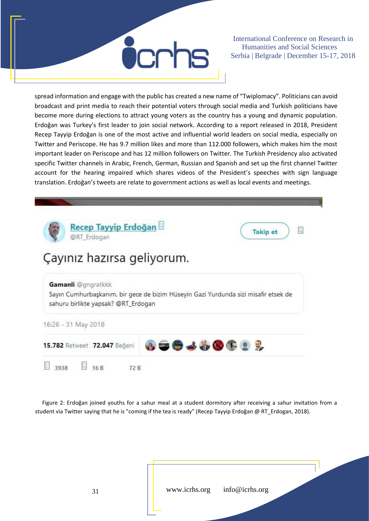

spread information and engage with the public has created a new name of "Twiplomacy". Politicians can avoid broadcast and print media to reach their potential voters through social media and Turkish politicians have become more during elections to attract young voters as the country has a young and dynamic population. Erdoğan was Turkey's first leader to join social network. According to a report released in 2018, President Recep Tayyip Erdoğan is one of the most active and influential world leaders on social media, especially on Twitter and Periscope. He has 9.7 million likes and more than 112.000 followers, which makes him the most important leader on Periscope and has 12 million followers on Twitter. The Turkish Presidency also activated specific Twitter channels in Arabic, French, German, Russian and Spanish and set up the first channel Twitter account for the hearing impaired which shares videos of the President's speeches with sign language translation. Erdoğan's tweets are relate to government actions as well as local events and meetings.



Figure 2: Erdoğan joined youths for a sahur meal at a student dormitory after receiving a sahur invitation from a student via Twitter saying that he is "coming if the tea is ready" (Recep Tayyip Erdoğan @ RT\_Erdogan, 2018).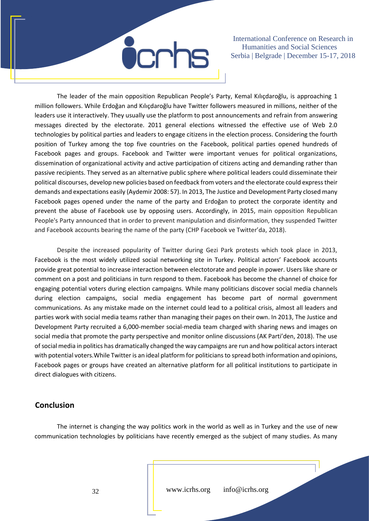

The leader of the main opposition Republican People's Party, Kemal Kılıçdaroğlu, is approaching 1 million followers. While Erdoğan and Kılıçdaroğlu have Twitter followers measured in millions, neither of the leaders use it interactively. They usually use the platform to post announcements and refrain from answering messages directed by the electorate. 2011 general elections witnessed the effective use of Web 2.0 technologies by political parties and leaders to engage citizens in the election process. Considering the fourth position of Turkey among the top five countries on the Facebook, political parties opened hundreds of Facebook pages and groups. Facebook and Twitter were important venues for political organizations, dissemination of organizational activity and active participation of citizens acting and demanding rather than passive recipients. They served as an alternative public sphere where political leaders could disseminate their political discourses, develop new policies based on feedback from voters and the electorate could express their demands and expectations easily (Aydemir 2008: 57). In 2013, The Justice and Development Party closed many Facebook pages opened under the name of the party and Erdoğan to protect the corporate identity and prevent the abuse of Facebook use by opposing users. Accordingly, in 2015, main opposition Republican People's Party announced that in order to prevent manipulation and disinformation, they suspended Twitter and Facebook accounts bearing the name of the party (CHP Facebook ve Twitter'da, 2018).

Despite the increased popularity of Twitter during Gezi Park protests which took place in 2013, Facebook is the most widely utilized social networking site in Turkey. Political actors' Facebook accounts provide great potential to increase interaction between electotorate and people in power. Users like share or comment on a post and politicians in turn respond to them. Facebook has become the channel of choice for engaging potential voters during election campaigns. While many politicians discover social media channels during election campaigns, social media engagement has become part of normal government communications. As any mistake made on the internet could lead to a political crisis, almost all leaders and parties work with social media teams rather than managing their pages on their own. In 2013, The Justice and Development Party recruited a 6,000-member social-media team charged with sharing news and images on social media that promote the party perspective and monitor online discussions (AK Parti'den, 2018). The use of social media in politics has dramatically changed the way campaigns are run and how political actors interact with potential voters.While Twitter is an ideal platform for politicians to spread both information and opinions, Facebook pages or groups have created an alternative platform for all political institutions to participate in direct dialogues with citizens.

#### **Conclusion**

The internet is changing the way politics work in the world as well as in Turkey and the use of new communication technologies by politicians have recently emerged as the subject of many studies. As many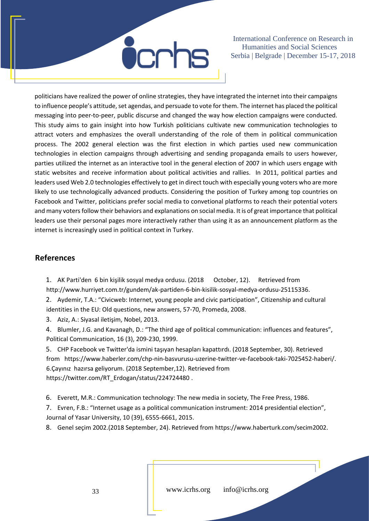

politicians have realized the power of online strategies, they have integrated the internet into their campaigns to influence people's attitude, set agendas, and persuade to vote for them. The internet has placed the political messaging into peer-to-peer, public discurse and changed the way how election campaigns were conducted. This study aims to gain insight into how Turkish politicians cultivate new communication technologies to attract voters and emphasizes the overall understanding of the role of them in political communication process. The 2002 general election was the first election in which parties used new communication technologies in election campaigns through advertising and sending propaganda emails to users however, parties utilized the internet as an interactive tool in the general election of 2007 in which users engage with static websites and receive information about political activities and rallies. In 2011, political parties and leaders used Web 2.0 technologies effectively to get in direct touch with especially young voters who are more likely to use technologically advanced products. Considering the position of Turkey among top countries on Facebook and Twitter, politicians prefer social media to convetional platforms to reach their potential voters and many voters follow their behaviors and explanations on social media. It is of great importance that political leaders use their personal pages more interactively rather than using it as an announcement platform as the internet is increasingly used in political context in Turkey.

#### **References**

1. AK Parti'den 6 bin kişilik sosyal medya ordusu. (2018 October, 12). Retrieved from [http://www.hurriyet.com.tr/gundem/ak-partiden-6-bin-kisilik-sosyal-medya-ordusu-25115336.](http://www.hurriyet.com.tr/gundem/ak-partiden-6-bin-kisilik-sosyal-medya-ordusu-25115336) 

2. Aydemir, T.A.: "Civicweb: Internet, young people and civic participation", Citizenship and cultural identities in the EU: Old questions, new answers, 57-70, Promeda, 2008.

3. Aziz, A.: Siyasal iletişim, Nobel, 2013.

4. Blumler, J.G. and Kavanagh, D.: "The third age of political communication: influences and features", Political Communication, 16 (3), 209-230, 1999.

5. CHP Facebook ve Twitter'da ismini taşıyan hesapları kapattırdı. (2018 September, 30). Retrieved from [https://www.haberler.com/chp-nin-basvurusu-uzerine-twitter-ve-facebook-taki-7025452-haberi/.](https://www.haberler.com/chp-nin-basvurusu-uzerine-twitter-ve-facebook-taki-7025452-haberi/) 6.Çayınız hazırsa geliyorum. (2018 September,12). Retrieved from https://twitter.com/RT\_Erdogan/status/224724480 .

6. Everett, M.R.: Communication technology: The new media in society, The Free Press, 1986.

7. Evren, F.B.: "Internet usage as a political communication instrument: 2014 presidential election", Journal of Yasar University, 10 (39), 6555-6661, 2015.

8. Genel seçim 2002.(2018 September, 24). Retrieved from https://www.haberturk.com/secim2002.